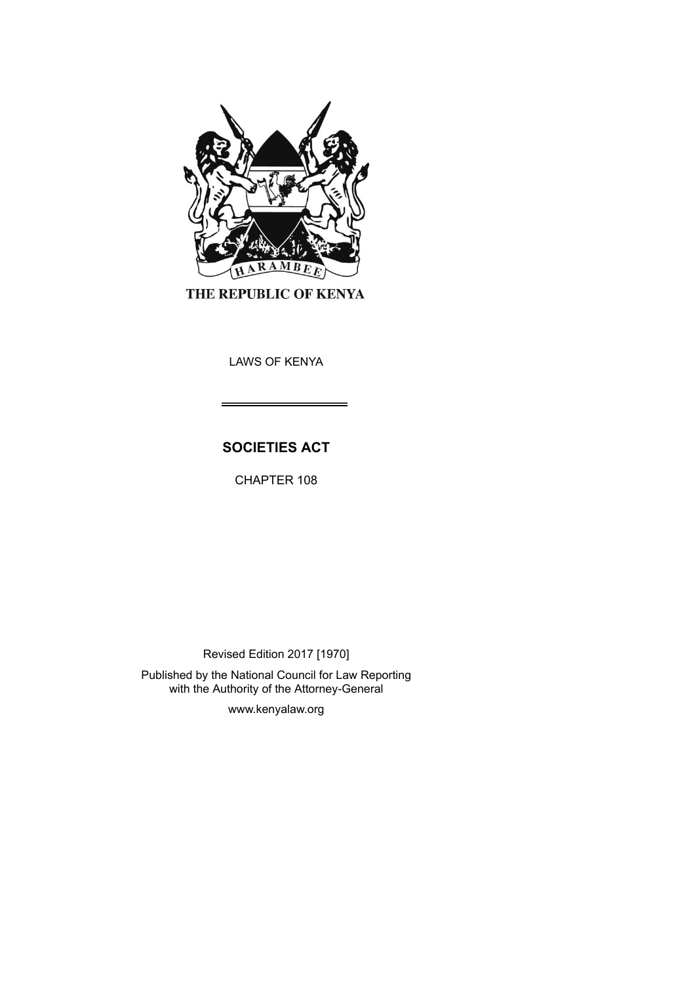

THE REPUBLIC OF KENYA

LAWS OF KENYA

# **SOCIETIES ACT**

CHAPTER 108

Revised Edition 2017 [1970]

Published by the National Council for Law Reporting with the Authority of the Attorney-General

www.kenyalaw.org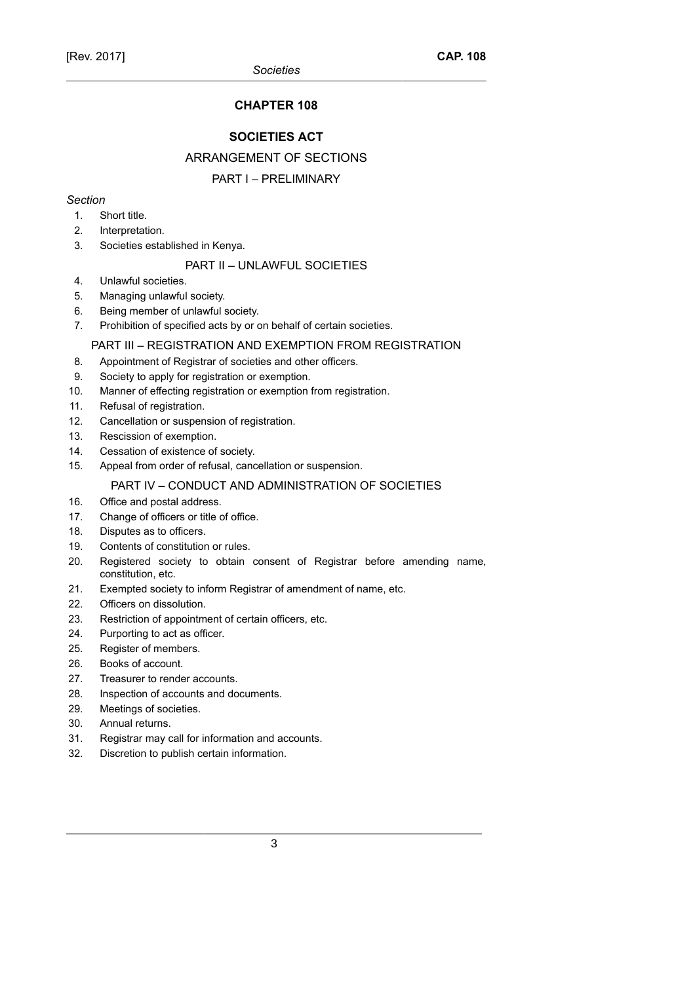# **CHAPTER 108**

### **SOCIETIES ACT**

#### ARRANGEMENT OF SECTIONS

### PART I – PRELIMINARY

### *Section*

- 1. Short title.
- 2. Interpretation.
- 3. Societies established in Kenya.

#### PART II – UNLAWFUL SOCIETIES

- 4. Unlawful societies.
- 5. Managing unlawful society.
- 6. Being member of unlawful society.
- 7. Prohibition of specified acts by or on behalf of certain societies.

#### PART III – REGISTRATION AND EXEMPTION FROM REGISTRATION

- 8. Appointment of Registrar of societies and other officers.
- 9. Society to apply for registration or exemption.
- 10. Manner of effecting registration or exemption from registration.
- 11. Refusal of registration.
- 12. Cancellation or suspension of registration.
- 13. Rescission of exemption.
- 14. Cessation of existence of society.
- 15. Appeal from order of refusal, cancellation or suspension.

#### PART IV – CONDUCT AND ADMINISTRATION OF SOCIETIES

- 16. Office and postal address.
- 17. Change of officers or title of office.
- 18. Disputes as to officers.
- 19. Contents of constitution or rules.
- 20. Registered society to obtain consent of Registrar before amending name, constitution, etc.
- 21. Exempted society to inform Registrar of amendment of name, etc.
- 22. Officers on dissolution.
- 23. Restriction of appointment of certain officers, etc.
- 24. Purporting to act as officer.
- 25. Register of members.
- 26. Books of account.
- 27. Treasurer to render accounts.
- 28. Inspection of accounts and documents.
- 29. Meetings of societies.
- 30. Annual returns.
- 31. Registrar may call for information and accounts.
- 32. Discretion to publish certain information.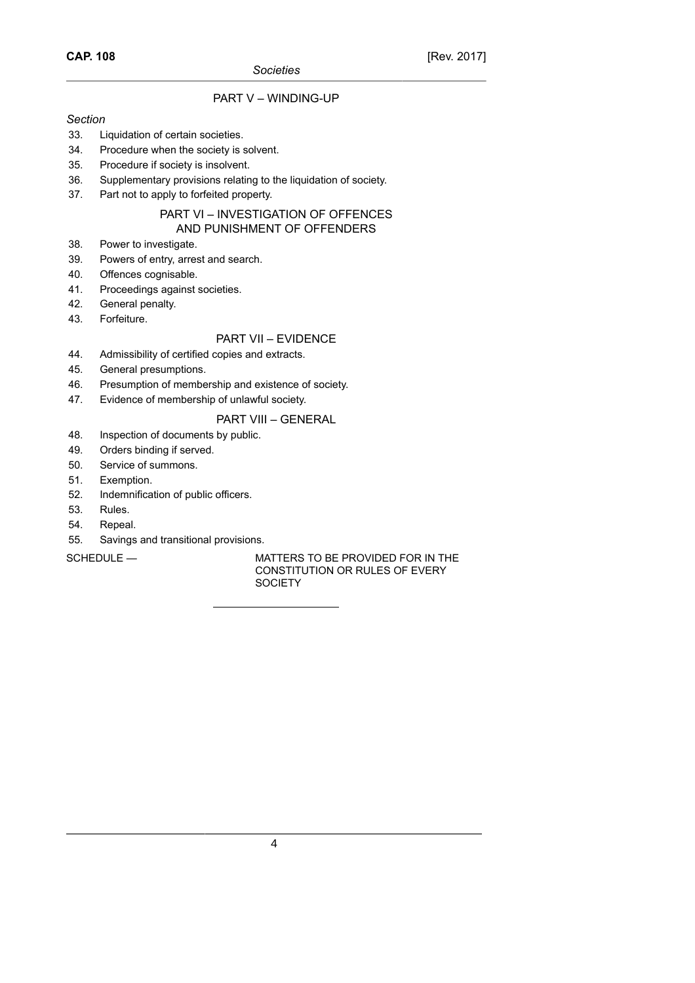## PART V – WINDING-UP

#### *Section*

- 33. Liquidation of certain societies.
- 34. Procedure when the society is solvent.
- 35. Procedure if society is insolvent.
- 36. Supplementary provisions relating to the liquidation of society.
- 37. Part not to apply to forfeited property.

### PART VI – INVESTIGATION OF OFFENCES AND PUNISHMENT OF OFFENDERS

- 38. Power to investigate.
- 39. Powers of entry, arrest and search.
- 40. Offences cognisable.
- 41. Proceedings against societies.
- 42. General penalty.
- 43. Forfeiture.

### PART VII – EVIDENCE

- 44. Admissibility of certified copies and extracts.
- 45. General presumptions.
- 46. Presumption of membership and existence of society.
- 47. Evidence of membership of unlawful society.

# PART VIII – GENERAL

- 48. Inspection of documents by public.
- 49. Orders binding if served.
- 50. Service of summons.
- 51. Exemption.
- 52. Indemnification of public officers.
- 53. Rules.
- 54. Repeal.
- 55. Savings and transitional provisions.

SCHEDULE — MATTERS TO BE PROVIDED FOR IN THE CONSTITUTION OR RULES OF EVERY **SOCIETY**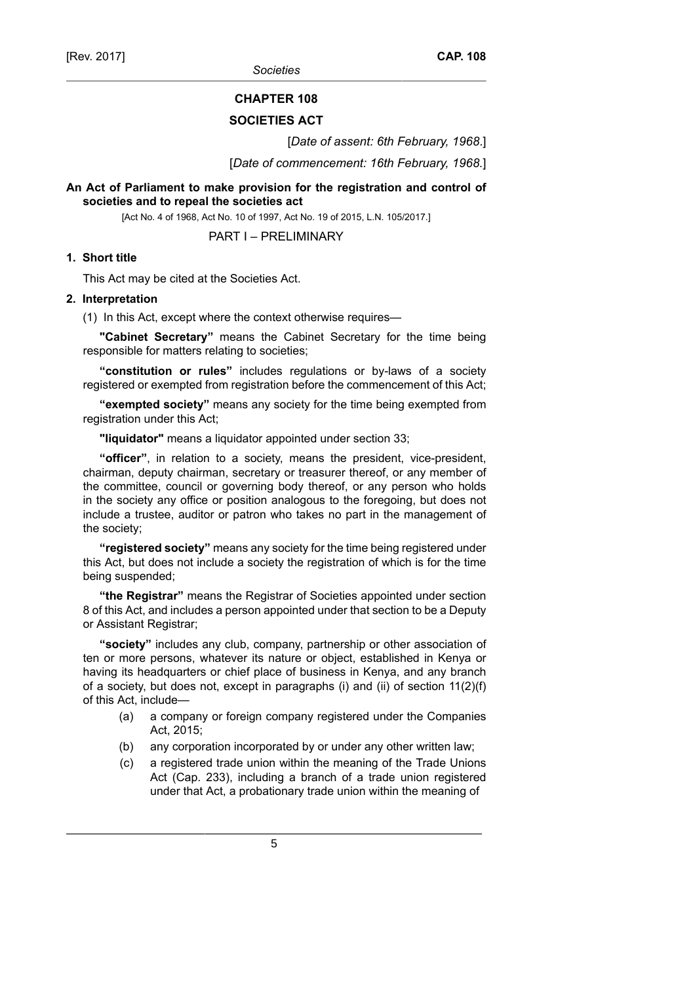*Societies*

### **CHAPTER 108**

#### **SOCIETIES ACT**

[*Date of assent: 6th February, 1968*.]

[*Date of commencement: 16th February, 1968.*]

### **An Act of Parliament to make provision for the registration and control of societies and to repeal the societies act**

[Act No. 4 of 1968, Act No. 10 of 1997, Act No. 19 of 2015, L.N. 105/2017.]

PART I – PRELIMINARY

### **1. Short title**

This Act may be cited at the Societies Act.

#### **2. Interpretation**

(1) In this Act, except where the context otherwise requires—

**"Cabinet Secretary"** means the Cabinet Secretary for the time being responsible for matters relating to societies;

**"constitution or rules"** includes regulations or by-laws of a society registered or exempted from registration before the commencement of this Act;

**"exempted society"** means any society for the time being exempted from registration under this Act;

**"liquidator"** means a liquidator appointed under section 33;

**"officer"**, in relation to a society, means the president, vice-president, chairman, deputy chairman, secretary or treasurer thereof, or any member of the committee, council or governing body thereof, or any person who holds in the society any office or position analogous to the foregoing, but does not include a trustee, auditor or patron who takes no part in the management of the society;

**"registered society"** means any society for the time being registered under this Act, but does not include a society the registration of which is for the time being suspended;

**"the Registrar"** means the Registrar of Societies appointed under section 8 of this Act, and includes a person appointed under that section to be a Deputy or Assistant Registrar;

**"society"** includes any club, company, partnership or other association of ten or more persons, whatever its nature or object, established in Kenya or having its headquarters or chief place of business in Kenya, and any branch of a society, but does not, except in paragraphs (i) and (ii) of section 11(2)(f) of this Act, include—

- (a) a company or foreign company registered under the Companies Act, 2015;
- (b) any corporation incorporated by or under any other written law;
- (c) a registered trade union within the meaning of the Trade Unions Act (Cap. 233), including a branch of a trade union registered under that Act, a probationary trade union within the meaning of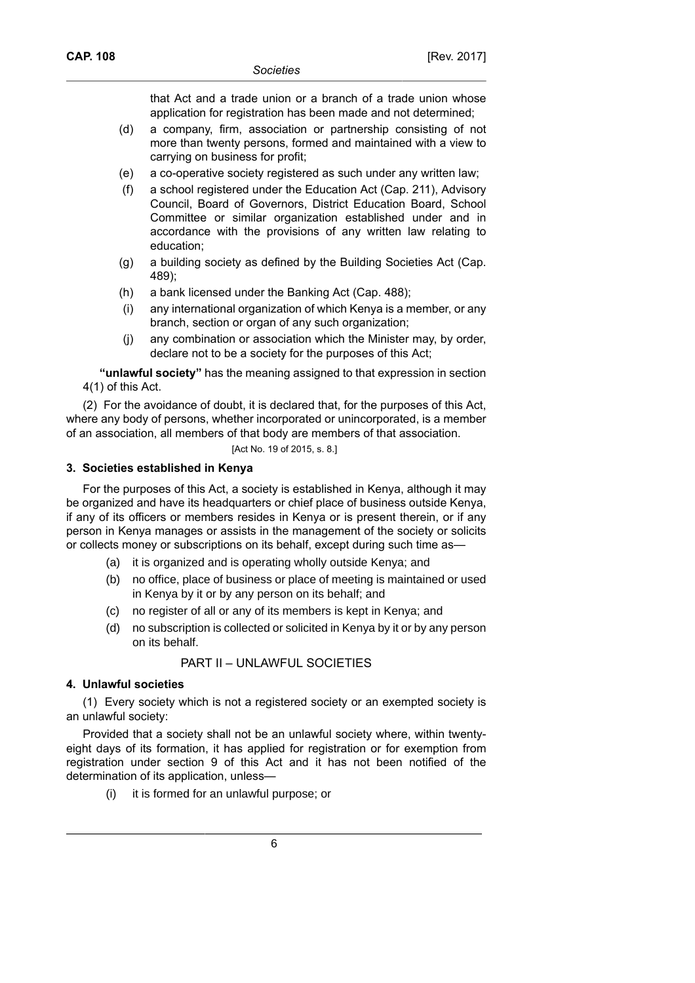that Act and a trade union or a branch of a trade union whose application for registration has been made and not determined;

- (d) a company, firm, association or partnership consisting of not more than twenty persons, formed and maintained with a view to carrying on business for profit;
- (e) a co-operative society registered as such under any written law;
- (f) a school registered under the Education Act (Cap. 211), Advisory Council, Board of Governors, District Education Board, School Committee or similar organization established under and in accordance with the provisions of any written law relating to education;
- (g) a building society as defined by the Building Societies Act (Cap. 489);
- (h) a bank licensed under the Banking Act (Cap. 488);
- (i) any international organization of which Kenya is a member, or any branch, section or organ of any such organization;
- (j) any combination or association which the Minister may, by order, declare not to be a society for the purposes of this Act;

**"unlawful society"** has the meaning assigned to that expression in section 4(1) of this Act.

(2) For the avoidance of doubt, it is declared that, for the purposes of this Act, where any body of persons, whether incorporated or unincorporated, is a member of an association, all members of that body are members of that association.

[Act No. 19 of 2015, s. 8.]

### **3. Societies established in Kenya**

For the purposes of this Act, a society is established in Kenya, although it may be organized and have its headquarters or chief place of business outside Kenya, if any of its officers or members resides in Kenya or is present therein, or if any person in Kenya manages or assists in the management of the society or solicits or collects money or subscriptions on its behalf, except during such time as—

- (a) it is organized and is operating wholly outside Kenya; and
- (b) no office, place of business or place of meeting is maintained or used in Kenya by it or by any person on its behalf; and
- (c) no register of all or any of its members is kept in Kenya; and
- (d) no subscription is collected or solicited in Kenya by it or by any person on its behalf.

# PART II – UNLAWFUL SOCIETIES

# **4. Unlawful societies**

(1) Every society which is not a registered society or an exempted society is an unlawful society:

Provided that a society shall not be an unlawful society where, within twentyeight days of its formation, it has applied for registration or for exemption from registration under section 9 of this Act and it has not been notified of the determination of its application, unless—

(i) it is formed for an unlawful purpose; or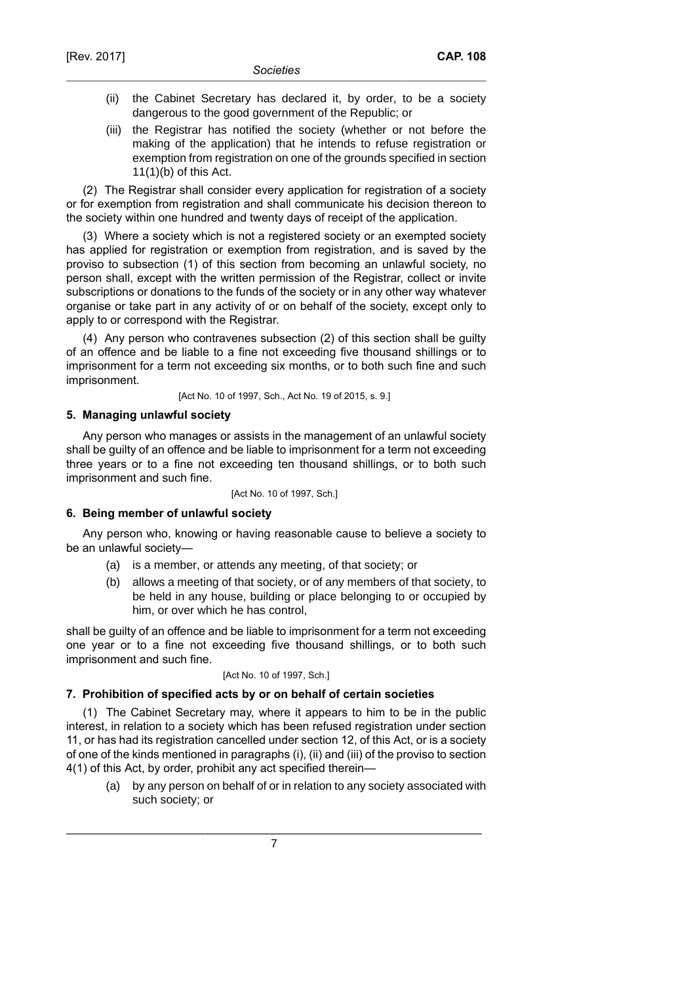- (ii) the Cabinet Secretary has declared it, by order, to be a society dangerous to the good government of the Republic; or
- (iii) the Registrar has notified the society (whether or not before the making of the application) that he intends to refuse registration or exemption from registration on one of the grounds specified in section 11(1)(b) of this Act.

(2) The Registrar shall consider every application for registration of a society or for exemption from registration and shall communicate his decision thereon to the society within one hundred and twenty days of receipt of the application.

(3) Where a society which is not a registered society or an exempted society has applied for registration or exemption from registration, and is saved by the proviso to subsection (1) of this section from becoming an unlawful society, no person shall, except with the written permission of the Registrar, collect or invite subscriptions or donations to the funds of the society or in any other way whatever organise or take part in any activity of or on behalf of the society, except only to apply to or correspond with the Registrar.

(4) Any person who contravenes subsection (2) of this section shall be guilty of an offence and be liable to a fine not exceeding five thousand shillings or to imprisonment for a term not exceeding six months, or to both such fine and such imprisonment.

[Act No. 10 of 1997, Sch., Act No. 19 of 2015, s. 9.]

### **5. Managing unlawful society**

Any person who manages or assists in the management of an unlawful society shall be guilty of an offence and be liable to imprisonment for a term not exceeding three years or to a fine not exceeding ten thousand shillings, or to both such imprisonment and such fine.

[Act No. 10 of 1997, Sch.]

#### **6. Being member of unlawful society**

Any person who, knowing or having reasonable cause to believe a society to be an unlawful society—

- (a) is a member, or attends any meeting, of that society; or
- (b) allows a meeting of that society, or of any members of that society, to be held in any house, building or place belonging to or occupied by him, or over which he has control,

shall be guilty of an offence and be liable to imprisonment for a term not exceeding one year or to a fine not exceeding five thousand shillings, or to both such imprisonment and such fine.

#### [Act No. 10 of 1997, Sch.]

### **7. Prohibition of specified acts by or on behalf of certain societies**

(1) The Cabinet Secretary may, where it appears to him to be in the public interest, in relation to a society which has been refused registration under section 11, or has had its registration cancelled under section 12, of this Act, or is a society of one of the kinds mentioned in paragraphs (i), (ii) and (iii) of the proviso to section 4(1) of this Act, by order, prohibit any act specified therein—

(a) by any person on behalf of or in relation to any society associated with such society; or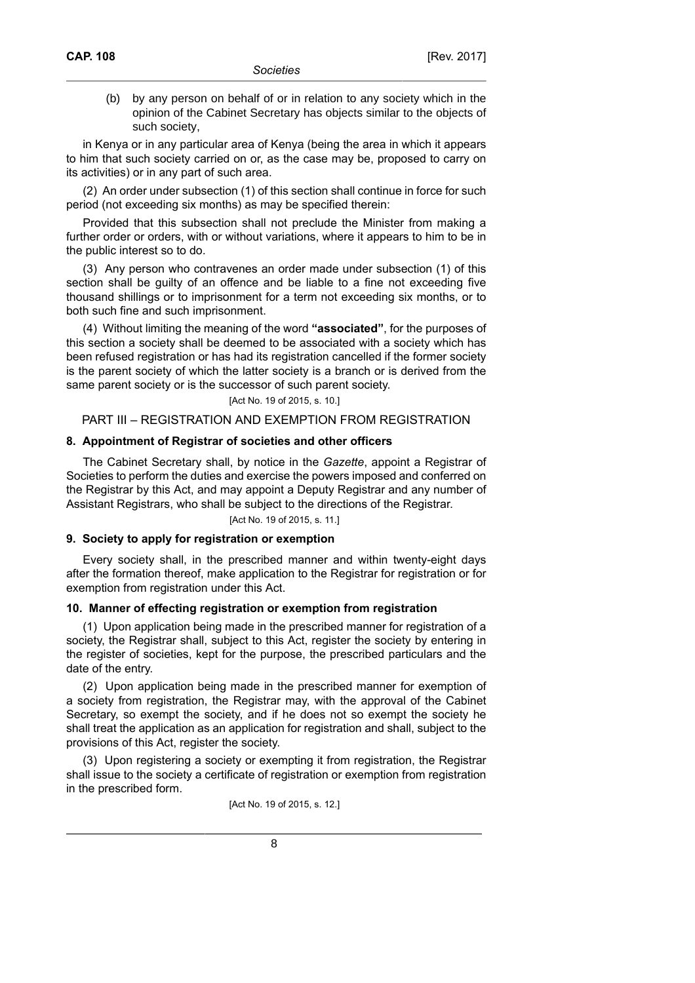(b) by any person on behalf of or in relation to any society which in the opinion of the Cabinet Secretary has objects similar to the objects of such society,

in Kenya or in any particular area of Kenya (being the area in which it appears to him that such society carried on or, as the case may be, proposed to carry on its activities) or in any part of such area.

(2) An order under subsection (1) of this section shall continue in force for such period (not exceeding six months) as may be specified therein:

Provided that this subsection shall not preclude the Minister from making a further order or orders, with or without variations, where it appears to him to be in the public interest so to do.

(3) Any person who contravenes an order made under subsection (1) of this section shall be guilty of an offence and be liable to a fine not exceeding five thousand shillings or to imprisonment for a term not exceeding six months, or to both such fine and such imprisonment.

(4) Without limiting the meaning of the word **"associated"**, for the purposes of this section a society shall be deemed to be associated with a society which has been refused registration or has had its registration cancelled if the former society is the parent society of which the latter society is a branch or is derived from the same parent society or is the successor of such parent society.

#### [Act No. 19 of 2015, s. 10.]

### PART III – REGISTRATION AND EXEMPTION FROM REGISTRATION

#### **8. Appointment of Registrar of societies and other officers**

The Cabinet Secretary shall, by notice in the *Gazette*, appoint a Registrar of Societies to perform the duties and exercise the powers imposed and conferred on the Registrar by this Act, and may appoint a Deputy Registrar and any number of Assistant Registrars, who shall be subject to the directions of the Registrar.

### [Act No. 19 of 2015, s. 11.]

#### **9. Society to apply for registration or exemption**

Every society shall, in the prescribed manner and within twenty-eight days after the formation thereof, make application to the Registrar for registration or for exemption from registration under this Act.

#### **10. Manner of effecting registration or exemption from registration**

(1) Upon application being made in the prescribed manner for registration of a society, the Registrar shall, subject to this Act, register the society by entering in the register of societies, kept for the purpose, the prescribed particulars and the date of the entry.

(2) Upon application being made in the prescribed manner for exemption of a society from registration, the Registrar may, with the approval of the Cabinet Secretary, so exempt the society, and if he does not so exempt the society he shall treat the application as an application for registration and shall, subject to the provisions of this Act, register the society.

(3) Upon registering a society or exempting it from registration, the Registrar shall issue to the society a certificate of registration or exemption from registration in the prescribed form.

[Act No. 19 of 2015, s. 12.]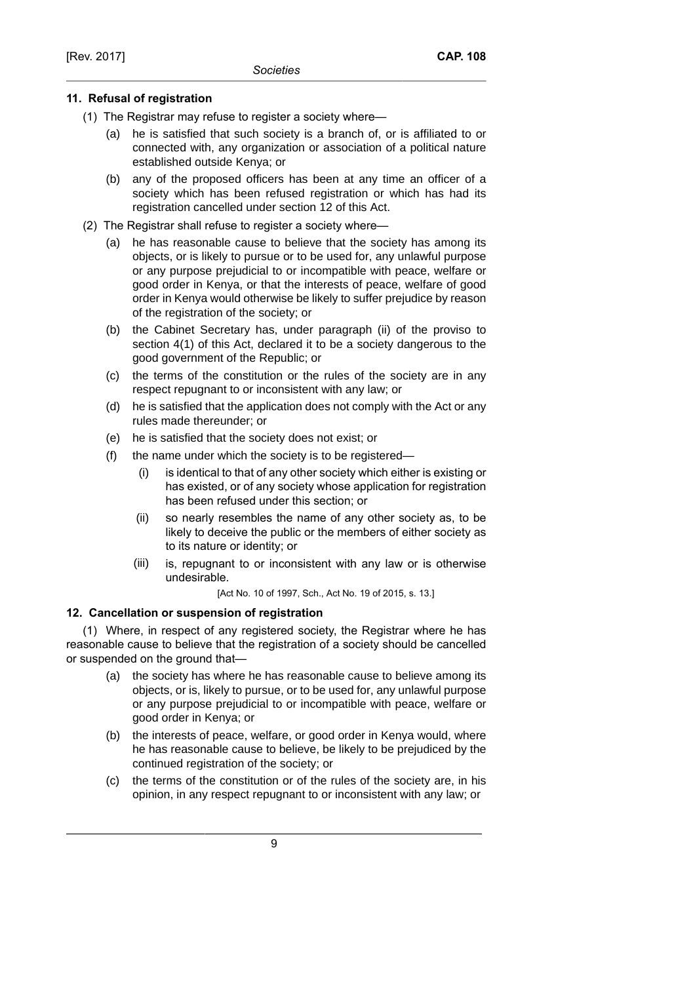### **11. Refusal of registration**

- (1) The Registrar may refuse to register a society where—
	- (a) he is satisfied that such society is a branch of, or is affiliated to or connected with, any organization or association of a political nature established outside Kenya; or
	- (b) any of the proposed officers has been at any time an officer of a society which has been refused registration or which has had its registration cancelled under section 12 of this Act.
- (2) The Registrar shall refuse to register a society where—
	- (a) he has reasonable cause to believe that the society has among its objects, or is likely to pursue or to be used for, any unlawful purpose or any purpose prejudicial to or incompatible with peace, welfare or good order in Kenya, or that the interests of peace, welfare of good order in Kenya would otherwise be likely to suffer prejudice by reason of the registration of the society; or
	- (b) the Cabinet Secretary has, under paragraph (ii) of the proviso to section 4(1) of this Act, declared it to be a society dangerous to the good government of the Republic; or
	- (c) the terms of the constitution or the rules of the society are in any respect repugnant to or inconsistent with any law; or
	- (d) he is satisfied that the application does not comply with the Act or any rules made thereunder; or
	- (e) he is satisfied that the society does not exist; or
	- (f) the name under which the society is to be registered—
		- (i) is identical to that of any other society which either is existing or has existed, or of any society whose application for registration has been refused under this section; or
		- (ii) so nearly resembles the name of any other society as, to be likely to deceive the public or the members of either society as to its nature or identity; or
		- (iii) is, repugnant to or inconsistent with any law or is otherwise undesirable.

[Act No. 10 of 1997, Sch., Act No. 19 of 2015, s. 13.]

# **12. Cancellation or suspension of registration**

(1) Where, in respect of any registered society, the Registrar where he has reasonable cause to believe that the registration of a society should be cancelled or suspended on the ground that—

- (a) the society has where he has reasonable cause to believe among its objects, or is, likely to pursue, or to be used for, any unlawful purpose or any purpose prejudicial to or incompatible with peace, welfare or good order in Kenya; or
- (b) the interests of peace, welfare, or good order in Kenya would, where he has reasonable cause to believe, be likely to be prejudiced by the continued registration of the society; or
- (c) the terms of the constitution or of the rules of the society are, in his opinion, in any respect repugnant to or inconsistent with any law; or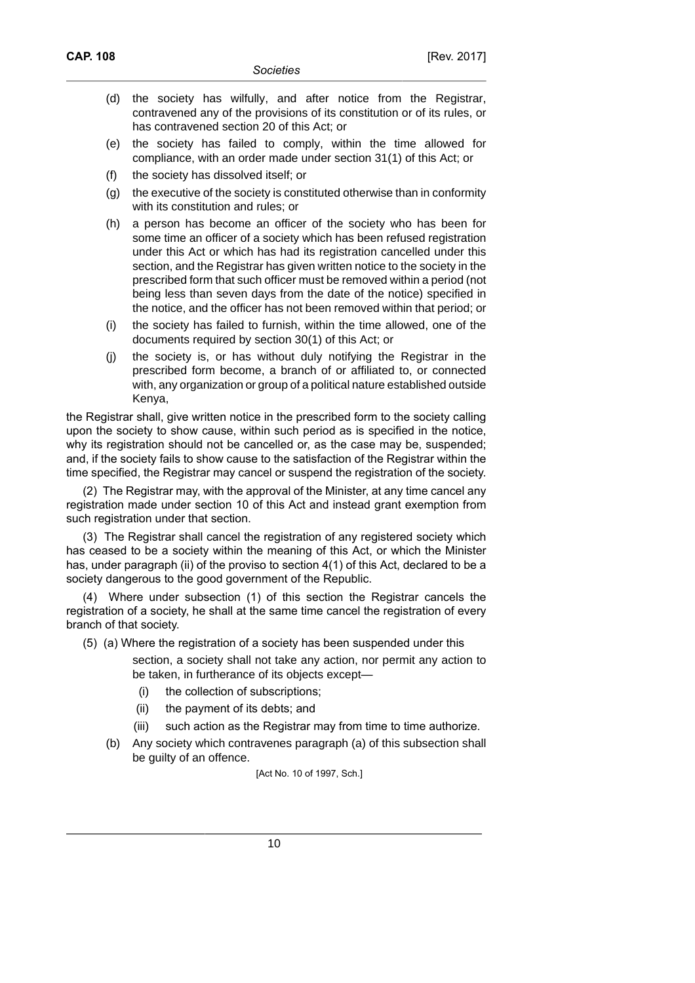- (d) the society has wilfully, and after notice from the Registrar, contravened any of the provisions of its constitution or of its rules, or has contravened section 20 of this Act; or
- (e) the society has failed to comply, within the time allowed for compliance, with an order made under section 31(1) of this Act; or
- (f) the society has dissolved itself; or
- (g) the executive of the society is constituted otherwise than in conformity with its constitution and rules; or
- (h) a person has become an officer of the society who has been for some time an officer of a society which has been refused registration under this Act or which has had its registration cancelled under this section, and the Registrar has given written notice to the society in the prescribed form that such officer must be removed within a period (not being less than seven days from the date of the notice) specified in the notice, and the officer has not been removed within that period; or
- (i) the society has failed to furnish, within the time allowed, one of the documents required by section 30(1) of this Act; or
- (j) the society is, or has without duly notifying the Registrar in the prescribed form become, a branch of or affiliated to, or connected with, any organization or group of a political nature established outside Kenya,

the Registrar shall, give written notice in the prescribed form to the society calling upon the society to show cause, within such period as is specified in the notice, why its registration should not be cancelled or, as the case may be, suspended; and, if the society fails to show cause to the satisfaction of the Registrar within the time specified, the Registrar may cancel or suspend the registration of the society.

(2) The Registrar may, with the approval of the Minister, at any time cancel any registration made under section 10 of this Act and instead grant exemption from such registration under that section.

(3) The Registrar shall cancel the registration of any registered society which has ceased to be a society within the meaning of this Act, or which the Minister has, under paragraph (ii) of the proviso to section 4(1) of this Act, declared to be a society dangerous to the good government of the Republic.

(4) Where under subsection (1) of this section the Registrar cancels the registration of a society, he shall at the same time cancel the registration of every branch of that society.

- (5) (a) Where the registration of a society has been suspended under this
	- section, a society shall not take any action, nor permit any action to be taken, in furtherance of its objects except—
		- (i) the collection of subscriptions;
		- (ii) the payment of its debts; and
		- (iii) such action as the Registrar may from time to time authorize.
	- (b) Any society which contravenes paragraph (a) of this subsection shall be guilty of an offence.

[Act No. 10 of 1997, Sch.]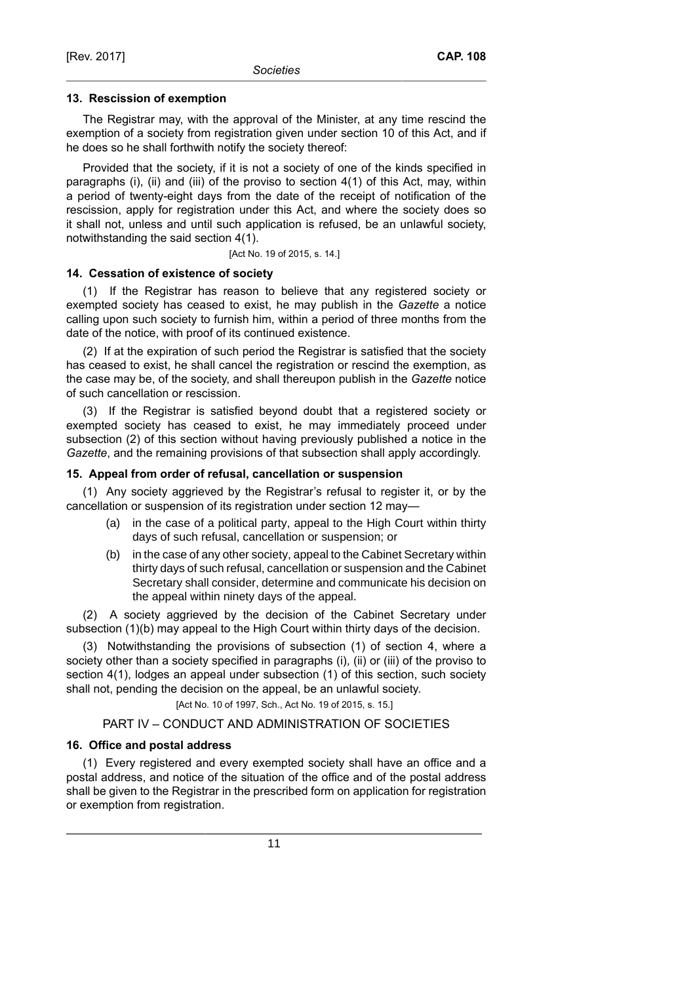#### **13. Rescission of exemption**

The Registrar may, with the approval of the Minister, at any time rescind the exemption of a society from registration given under section 10 of this Act, and if he does so he shall forthwith notify the society thereof:

Provided that the society, if it is not a society of one of the kinds specified in paragraphs (i), (ii) and (iii) of the proviso to section 4(1) of this Act, may, within a period of twenty-eight days from the date of the receipt of notification of the rescission, apply for registration under this Act, and where the society does so it shall not, unless and until such application is refused, be an unlawful society, notwithstanding the said section 4(1).

[Act No. 19 of 2015, s. 14.]

### **14. Cessation of existence of society**

(1) If the Registrar has reason to believe that any registered society or exempted society has ceased to exist, he may publish in the *Gazette* a notice calling upon such society to furnish him, within a period of three months from the date of the notice, with proof of its continued existence.

(2) If at the expiration of such period the Registrar is satisfied that the society has ceased to exist, he shall cancel the registration or rescind the exemption, as the case may be, of the society, and shall thereupon publish in the *Gazette* notice of such cancellation or rescission.

(3) If the Registrar is satisfied beyond doubt that a registered society or exempted society has ceased to exist, he may immediately proceed under subsection (2) of this section without having previously published a notice in the *Gazette*, and the remaining provisions of that subsection shall apply accordingly.

#### **15. Appeal from order of refusal, cancellation or suspension**

(1) Any society aggrieved by the Registrar's refusal to register it, or by the cancellation or suspension of its registration under section 12 may—

- (a) in the case of a political party, appeal to the High Court within thirty days of such refusal, cancellation or suspension; or
- (b) in the case of any other society, appeal to the Cabinet Secretary within thirty days of such refusal, cancellation or suspension and the Cabinet Secretary shall consider, determine and communicate his decision on the appeal within ninety days of the appeal.

(2) A society aggrieved by the decision of the Cabinet Secretary under subsection (1)(b) may appeal to the High Court within thirty days of the decision.

(3) Notwithstanding the provisions of subsection (1) of section 4, where a society other than a society specified in paragraphs (i), (ii) or (iii) of the proviso to section 4(1), lodges an appeal under subsection (1) of this section, such society shall not, pending the decision on the appeal, be an unlawful society.

[Act No. 10 of 1997, Sch., Act No. 19 of 2015, s. 15.]

### PART IV – CONDUCT AND ADMINISTRATION OF SOCIETIES

#### **16. Office and postal address**

(1) Every registered and every exempted society shall have an office and a postal address, and notice of the situation of the office and of the postal address shall be given to the Registrar in the prescribed form on application for registration or exemption from registration.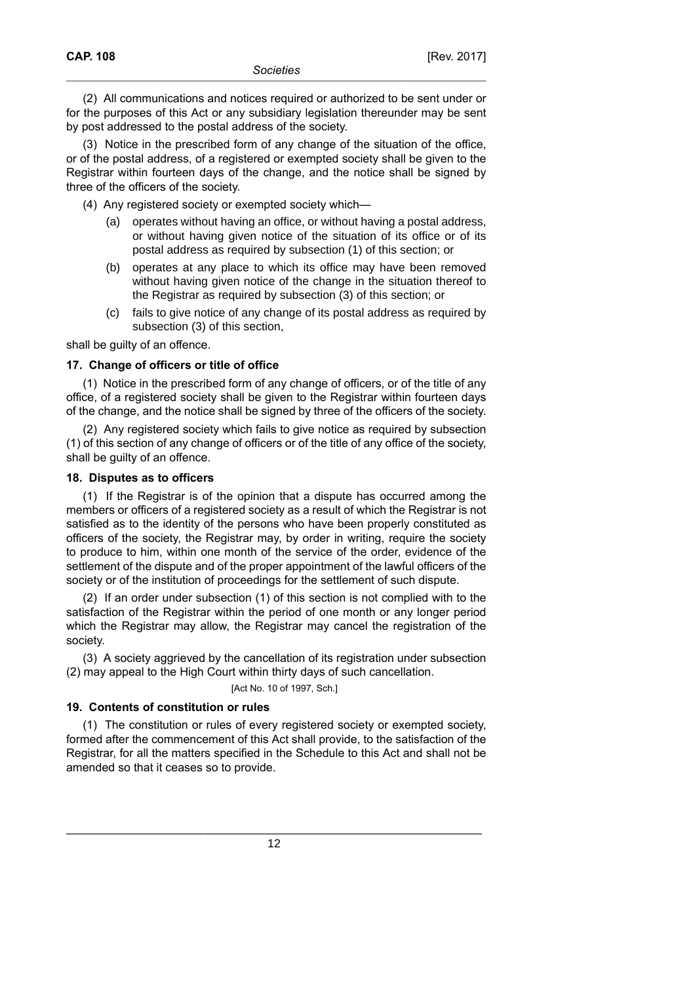(2) All communications and notices required or authorized to be sent under or for the purposes of this Act or any subsidiary legislation thereunder may be sent by post addressed to the postal address of the society.

(3) Notice in the prescribed form of any change of the situation of the office, or of the postal address, of a registered or exempted society shall be given to the Registrar within fourteen days of the change, and the notice shall be signed by three of the officers of the society.

(4) Any registered society or exempted society which—

- (a) operates without having an office, or without having a postal address, or without having given notice of the situation of its office or of its postal address as required by subsection (1) of this section; or
- (b) operates at any place to which its office may have been removed without having given notice of the change in the situation thereof to the Registrar as required by subsection (3) of this section; or
- (c) fails to give notice of any change of its postal address as required by subsection (3) of this section,

shall be quilty of an offence.

### **17. Change of officers or title of office**

(1) Notice in the prescribed form of any change of officers, or of the title of any office, of a registered society shall be given to the Registrar within fourteen days of the change, and the notice shall be signed by three of the officers of the society.

(2) Any registered society which fails to give notice as required by subsection (1) of this section of any change of officers or of the title of any office of the society, shall be guilty of an offence.

### **18. Disputes as to officers**

(1) If the Registrar is of the opinion that a dispute has occurred among the members or officers of a registered society as a result of which the Registrar is not satisfied as to the identity of the persons who have been properly constituted as officers of the society, the Registrar may, by order in writing, require the society to produce to him, within one month of the service of the order, evidence of the settlement of the dispute and of the proper appointment of the lawful officers of the society or of the institution of proceedings for the settlement of such dispute.

(2) If an order under subsection (1) of this section is not complied with to the satisfaction of the Registrar within the period of one month or any longer period which the Registrar may allow, the Registrar may cancel the registration of the society.

(3) A society aggrieved by the cancellation of its registration under subsection (2) may appeal to the High Court within thirty days of such cancellation.

[Act No. 10 of 1997, Sch.]

### **19. Contents of constitution or rules**

(1) The constitution or rules of every registered society or exempted society, formed after the commencement of this Act shall provide, to the satisfaction of the Registrar, for all the matters specified in the Schedule to this Act and shall not be amended so that it ceases so to provide.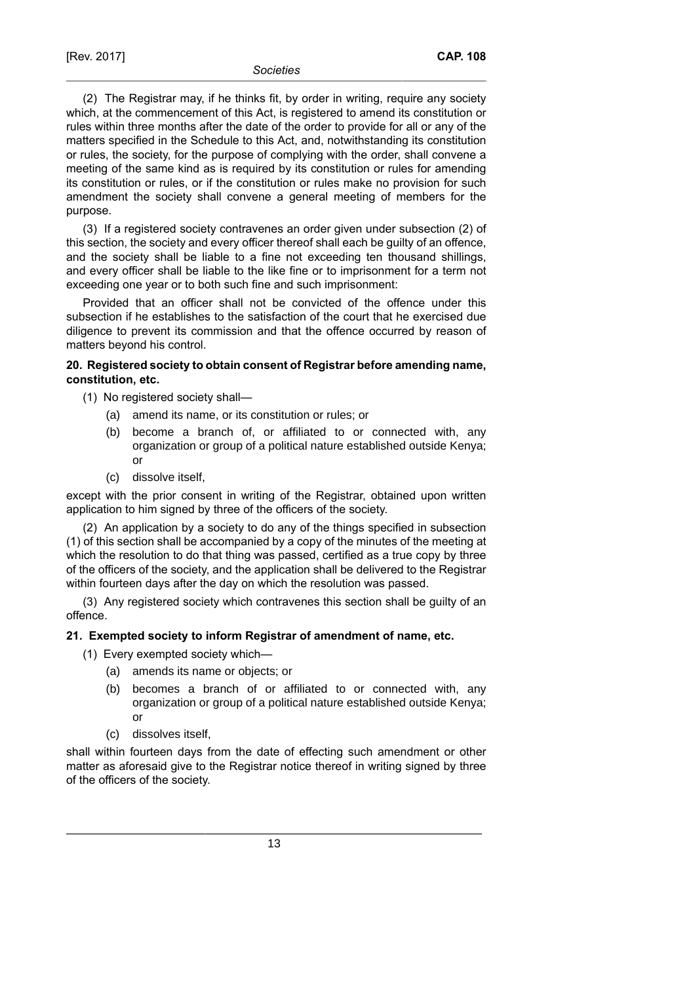(2) The Registrar may, if he thinks fit, by order in writing, require any society which, at the commencement of this Act, is registered to amend its constitution or rules within three months after the date of the order to provide for all or any of the matters specified in the Schedule to this Act, and, notwithstanding its constitution or rules, the society, for the purpose of complying with the order, shall convene a meeting of the same kind as is required by its constitution or rules for amending its constitution or rules, or if the constitution or rules make no provision for such amendment the society shall convene a general meeting of members for the purpose.

(3) If a registered society contravenes an order given under subsection (2) of this section, the society and every officer thereof shall each be guilty of an offence, and the society shall be liable to a fine not exceeding ten thousand shillings, and every officer shall be liable to the like fine or to imprisonment for a term not exceeding one year or to both such fine and such imprisonment:

Provided that an officer shall not be convicted of the offence under this subsection if he establishes to the satisfaction of the court that he exercised due diligence to prevent its commission and that the offence occurred by reason of matters beyond his control.

# **20. Registered society to obtain consent of Registrar before amending name, constitution, etc.**

- (1) No registered society shall—
	- (a) amend its name, or its constitution or rules; or
	- (b) become a branch of, or affiliated to or connected with, any organization or group of a political nature established outside Kenya; or
	- (c) dissolve itself,

except with the prior consent in writing of the Registrar, obtained upon written application to him signed by three of the officers of the society.

(2) An application by a society to do any of the things specified in subsection (1) of this section shall be accompanied by a copy of the minutes of the meeting at which the resolution to do that thing was passed, certified as a true copy by three of the officers of the society, and the application shall be delivered to the Registrar within fourteen days after the day on which the resolution was passed.

(3) Any registered society which contravenes this section shall be guilty of an offence.

# **21. Exempted society to inform Registrar of amendment of name, etc.**

(1) Every exempted society which—

- (a) amends its name or objects; or
- (b) becomes a branch of or affiliated to or connected with, any organization or group of a political nature established outside Kenya; or
- (c) dissolves itself,

shall within fourteen days from the date of effecting such amendment or other matter as aforesaid give to the Registrar notice thereof in writing signed by three of the officers of the society.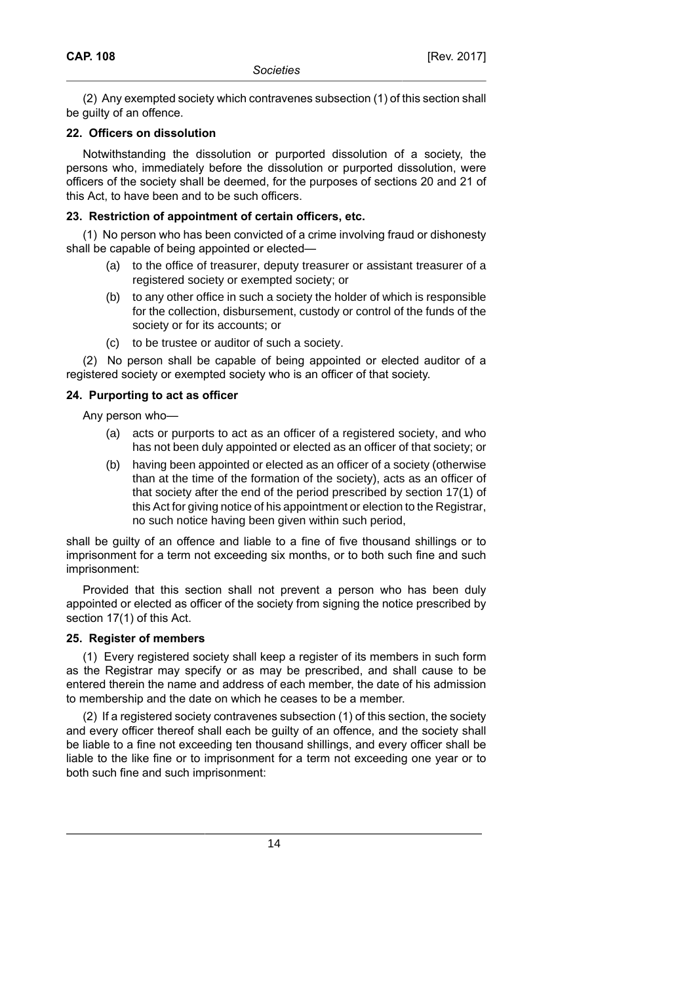(2) Any exempted society which contravenes subsection (1) of this section shall be quilty of an offence.

### **22. Officers on dissolution**

Notwithstanding the dissolution or purported dissolution of a society, the persons who, immediately before the dissolution or purported dissolution, were officers of the society shall be deemed, for the purposes of sections 20 and 21 of this Act, to have been and to be such officers.

## **23. Restriction of appointment of certain officers, etc.**

(1) No person who has been convicted of a crime involving fraud or dishonesty shall be capable of being appointed or elected—

- (a) to the office of treasurer, deputy treasurer or assistant treasurer of a registered society or exempted society; or
- (b) to any other office in such a society the holder of which is responsible for the collection, disbursement, custody or control of the funds of the society or for its accounts; or
- (c) to be trustee or auditor of such a society.

(2) No person shall be capable of being appointed or elected auditor of a registered society or exempted society who is an officer of that society.

# **24. Purporting to act as officer**

Any person who—

- (a) acts or purports to act as an officer of a registered society, and who has not been duly appointed or elected as an officer of that society; or
- (b) having been appointed or elected as an officer of a society (otherwise than at the time of the formation of the society), acts as an officer of that society after the end of the period prescribed by section 17(1) of this Act for giving notice of his appointment or election to the Registrar, no such notice having been given within such period,

shall be guilty of an offence and liable to a fine of five thousand shillings or to imprisonment for a term not exceeding six months, or to both such fine and such imprisonment:

Provided that this section shall not prevent a person who has been duly appointed or elected as officer of the society from signing the notice prescribed by section 17(1) of this Act.

# **25. Register of members**

(1) Every registered society shall keep a register of its members in such form as the Registrar may specify or as may be prescribed, and shall cause to be entered therein the name and address of each member, the date of his admission to membership and the date on which he ceases to be a member.

(2) If a registered society contravenes subsection (1) of this section, the society and every officer thereof shall each be guilty of an offence, and the society shall be liable to a fine not exceeding ten thousand shillings, and every officer shall be liable to the like fine or to imprisonment for a term not exceeding one year or to both such fine and such imprisonment: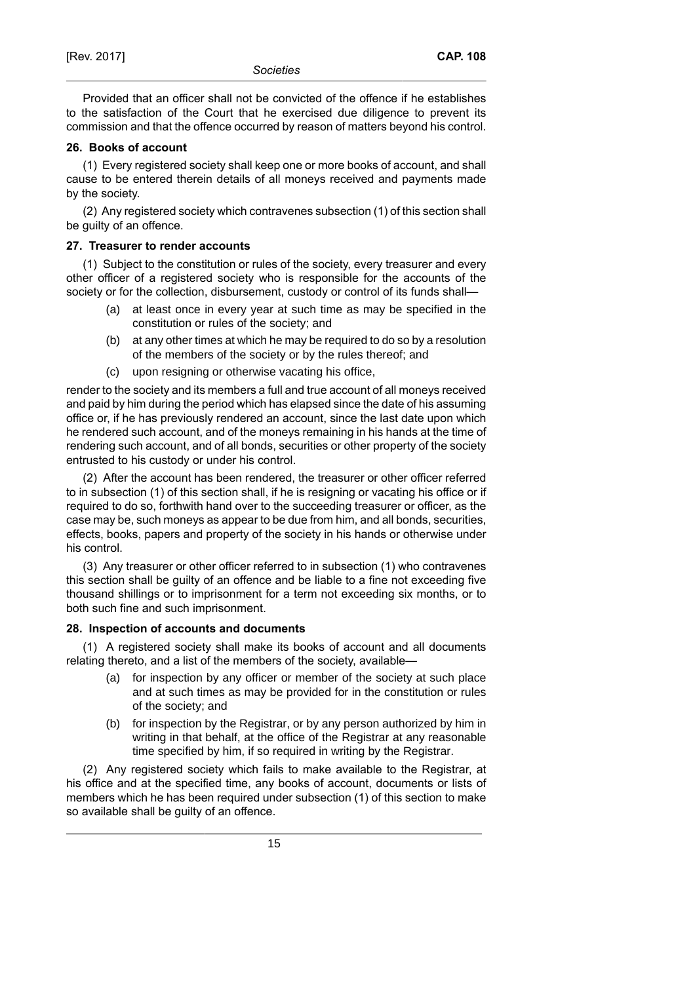Provided that an officer shall not be convicted of the offence if he establishes to the satisfaction of the Court that he exercised due diligence to prevent its commission and that the offence occurred by reason of matters beyond his control.

### **26. Books of account**

(1) Every registered society shall keep one or more books of account, and shall cause to be entered therein details of all moneys received and payments made by the society.

(2) Any registered society which contravenes subsection (1) of this section shall be guilty of an offence.

### **27. Treasurer to render accounts**

(1) Subject to the constitution or rules of the society, every treasurer and every other officer of a registered society who is responsible for the accounts of the society or for the collection, disbursement, custody or control of its funds shall-

- (a) at least once in every year at such time as may be specified in the constitution or rules of the society; and
- (b) at any other times at which he may be required to do so by a resolution of the members of the society or by the rules thereof; and
- (c) upon resigning or otherwise vacating his office,

render to the society and its members a full and true account of all moneys received and paid by him during the period which has elapsed since the date of his assuming office or, if he has previously rendered an account, since the last date upon which he rendered such account, and of the moneys remaining in his hands at the time of rendering such account, and of all bonds, securities or other property of the society entrusted to his custody or under his control.

(2) After the account has been rendered, the treasurer or other officer referred to in subsection (1) of this section shall, if he is resigning or vacating his office or if required to do so, forthwith hand over to the succeeding treasurer or officer, as the case may be, such moneys as appear to be due from him, and all bonds, securities, effects, books, papers and property of the society in his hands or otherwise under his control.

(3) Any treasurer or other officer referred to in subsection (1) who contravenes this section shall be guilty of an offence and be liable to a fine not exceeding five thousand shillings or to imprisonment for a term not exceeding six months, or to both such fine and such imprisonment.

# **28. Inspection of accounts and documents**

(1) A registered society shall make its books of account and all documents relating thereto, and a list of the members of the society, available—

- (a) for inspection by any officer or member of the society at such place and at such times as may be provided for in the constitution or rules of the society; and
- (b) for inspection by the Registrar, or by any person authorized by him in writing in that behalf, at the office of the Registrar at any reasonable time specified by him, if so required in writing by the Registrar.

(2) Any registered society which fails to make available to the Registrar, at his office and at the specified time, any books of account, documents or lists of members which he has been required under subsection (1) of this section to make so available shall be guilty of an offence.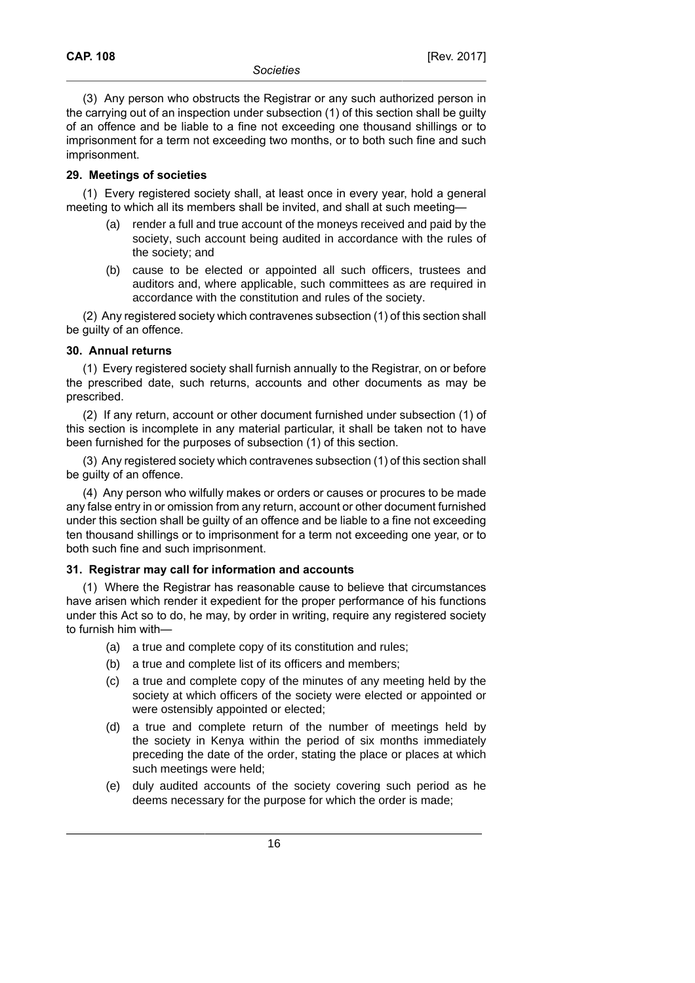(3) Any person who obstructs the Registrar or any such authorized person in the carrying out of an inspection under subsection (1) of this section shall be guilty of an offence and be liable to a fine not exceeding one thousand shillings or to imprisonment for a term not exceeding two months, or to both such fine and such imprisonment.

#### **29. Meetings of societies**

(1) Every registered society shall, at least once in every year, hold a general meeting to which all its members shall be invited, and shall at such meeting—

- (a) render a full and true account of the moneys received and paid by the society, such account being audited in accordance with the rules of the society; and
- (b) cause to be elected or appointed all such officers, trustees and auditors and, where applicable, such committees as are required in accordance with the constitution and rules of the society.

(2) Any registered society which contravenes subsection (1) of this section shall be guilty of an offence.

### **30. Annual returns**

(1) Every registered society shall furnish annually to the Registrar, on or before the prescribed date, such returns, accounts and other documents as may be prescribed.

(2) If any return, account or other document furnished under subsection (1) of this section is incomplete in any material particular, it shall be taken not to have been furnished for the purposes of subsection (1) of this section.

(3) Any registered society which contravenes subsection (1) of this section shall be guilty of an offence.

(4) Any person who wilfully makes or orders or causes or procures to be made any false entry in or omission from any return, account or other document furnished under this section shall be guilty of an offence and be liable to a fine not exceeding ten thousand shillings or to imprisonment for a term not exceeding one year, or to both such fine and such imprisonment.

### **31. Registrar may call for information and accounts**

(1) Where the Registrar has reasonable cause to believe that circumstances have arisen which render it expedient for the proper performance of his functions under this Act so to do, he may, by order in writing, require any registered society to furnish him with—

- (a) a true and complete copy of its constitution and rules;
- (b) a true and complete list of its officers and members;
- (c) a true and complete copy of the minutes of any meeting held by the society at which officers of the society were elected or appointed or were ostensibly appointed or elected;
- (d) a true and complete return of the number of meetings held by the society in Kenya within the period of six months immediately preceding the date of the order, stating the place or places at which such meetings were held;
- (e) duly audited accounts of the society covering such period as he deems necessary for the purpose for which the order is made;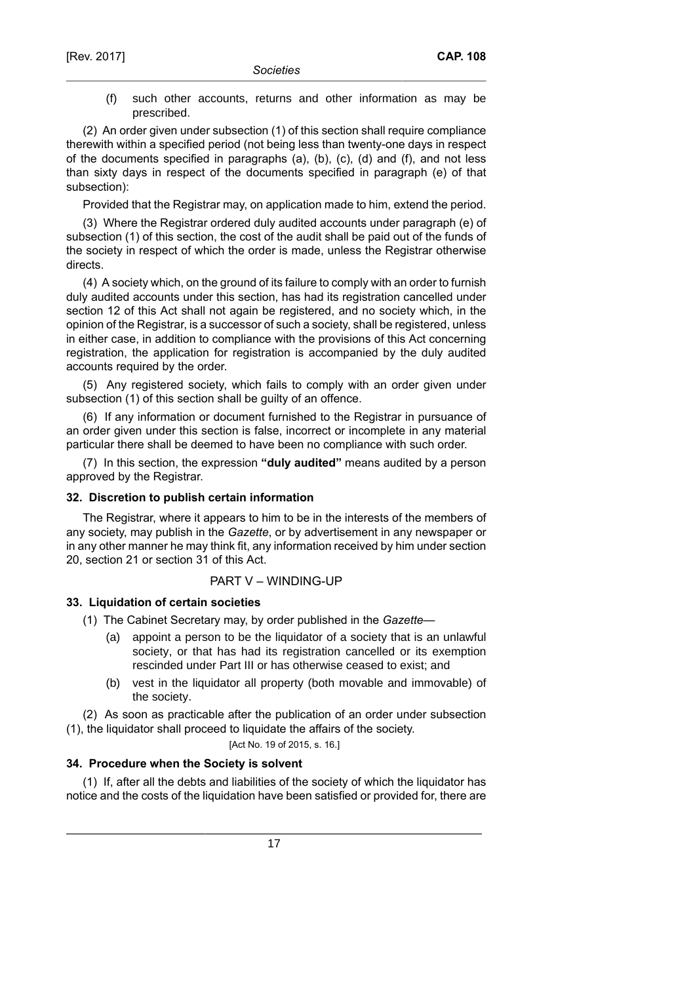(f) such other accounts, returns and other information as may be prescribed.

(2) An order given under subsection (1) of this section shall require compliance therewith within a specified period (not being less than twenty-one days in respect of the documents specified in paragraphs (a), (b), (c), (d) and (f), and not less than sixty days in respect of the documents specified in paragraph (e) of that subsection):

Provided that the Registrar may, on application made to him, extend the period.

(3) Where the Registrar ordered duly audited accounts under paragraph (e) of subsection (1) of this section, the cost of the audit shall be paid out of the funds of the society in respect of which the order is made, unless the Registrar otherwise directs.

(4) A society which, on the ground of its failure to comply with an order to furnish duly audited accounts under this section, has had its registration cancelled under section 12 of this Act shall not again be registered, and no society which, in the opinion of the Registrar, is a successor of such a society, shall be registered, unless in either case, in addition to compliance with the provisions of this Act concerning registration, the application for registration is accompanied by the duly audited accounts required by the order.

(5) Any registered society, which fails to comply with an order given under subsection (1) of this section shall be guilty of an offence.

(6) If any information or document furnished to the Registrar in pursuance of an order given under this section is false, incorrect or incomplete in any material particular there shall be deemed to have been no compliance with such order.

(7) In this section, the expression **"duly audited"** means audited by a person approved by the Registrar.

### **32. Discretion to publish certain information**

The Registrar, where it appears to him to be in the interests of the members of any society, may publish in the *Gazette*, or by advertisement in any newspaper or in any other manner he may think fit, any information received by him under section 20, section 21 or section 31 of this Act.

# PART V – WINDING-UP

# **33. Liquidation of certain societies**

- (1) The Cabinet Secretary may, by order published in the *Gazette*
	- (a) appoint a person to be the liquidator of a society that is an unlawful society, or that has had its registration cancelled or its exemption rescinded under Part III or has otherwise ceased to exist; and
	- (b) vest in the liquidator all property (both movable and immovable) of the society.

(2) As soon as practicable after the publication of an order under subsection (1), the liquidator shall proceed to liquidate the affairs of the society.

### [Act No. 19 of 2015, s. 16.]

# **34. Procedure when the Society is solvent**

(1) If, after all the debts and liabilities of the society of which the liquidator has notice and the costs of the liquidation have been satisfied or provided for, there are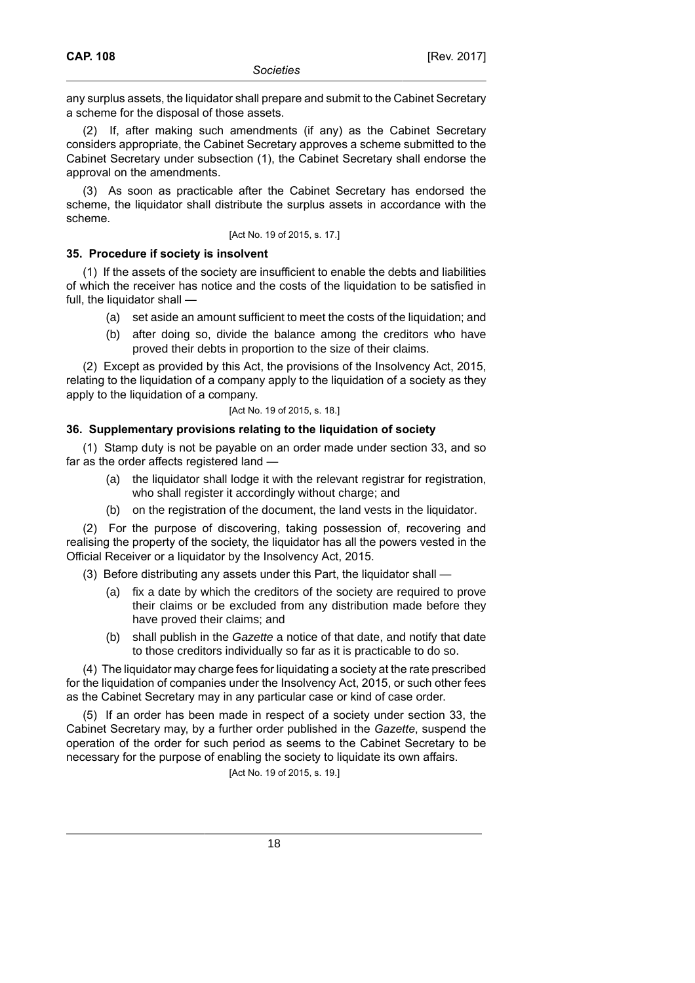any surplus assets, the liquidator shall prepare and submit to the Cabinet Secretary a scheme for the disposal of those assets.

(2) If, after making such amendments (if any) as the Cabinet Secretary considers appropriate, the Cabinet Secretary approves a scheme submitted to the Cabinet Secretary under subsection (1), the Cabinet Secretary shall endorse the approval on the amendments.

(3) As soon as practicable after the Cabinet Secretary has endorsed the scheme, the liquidator shall distribute the surplus assets in accordance with the scheme.

#### [Act No. 19 of 2015, s. 17.]

### **35. Procedure if society is insolvent**

(1) If the assets of the society are insufficient to enable the debts and liabilities of which the receiver has notice and the costs of the liquidation to be satisfied in full, the liquidator shall —

- (a) set aside an amount sufficient to meet the costs of the liquidation; and
- (b) after doing so, divide the balance among the creditors who have proved their debts in proportion to the size of their claims.

(2) Except as provided by this Act, the provisions of the Insolvency Act, 2015, relating to the liquidation of a company apply to the liquidation of a society as they apply to the liquidation of a company.

#### [Act No. 19 of 2015, s. 18.]

### **36. Supplementary provisions relating to the liquidation of society**

(1) Stamp duty is not be payable on an order made under section 33, and so far as the order affects registered land —

- (a) the liquidator shall lodge it with the relevant registrar for registration, who shall register it accordingly without charge; and
- (b) on the registration of the document, the land vests in the liquidator.

(2) For the purpose of discovering, taking possession of, recovering and realising the property of the society, the liquidator has all the powers vested in the Official Receiver or a liquidator by the Insolvency Act, 2015.

(3) Before distributing any assets under this Part, the liquidator shall -

- (a) fix a date by which the creditors of the society are required to prove their claims or be excluded from any distribution made before they have proved their claims; and
- (b) shall publish in the Gazette a notice of that date, and notify that date to those creditors individually so far as it is practicable to do so.

(4) The liquidator may charge fees for liquidating a society at the rate prescribed for the liquidation of companies under the Insolvency Act, 2015, or such other fees as the Cabinet Secretary may in any particular case or kind of case order.

(5) If an order has been made in respect of a society under section 33, the Cabinet Secretary may, by a further order published in the *Gazette*, suspend the operation of the order for such period as seems to the Cabinet Secretary to be necessary for the purpose of enabling the society to liquidate its own affairs.

[Act No. 19 of 2015, s. 19.]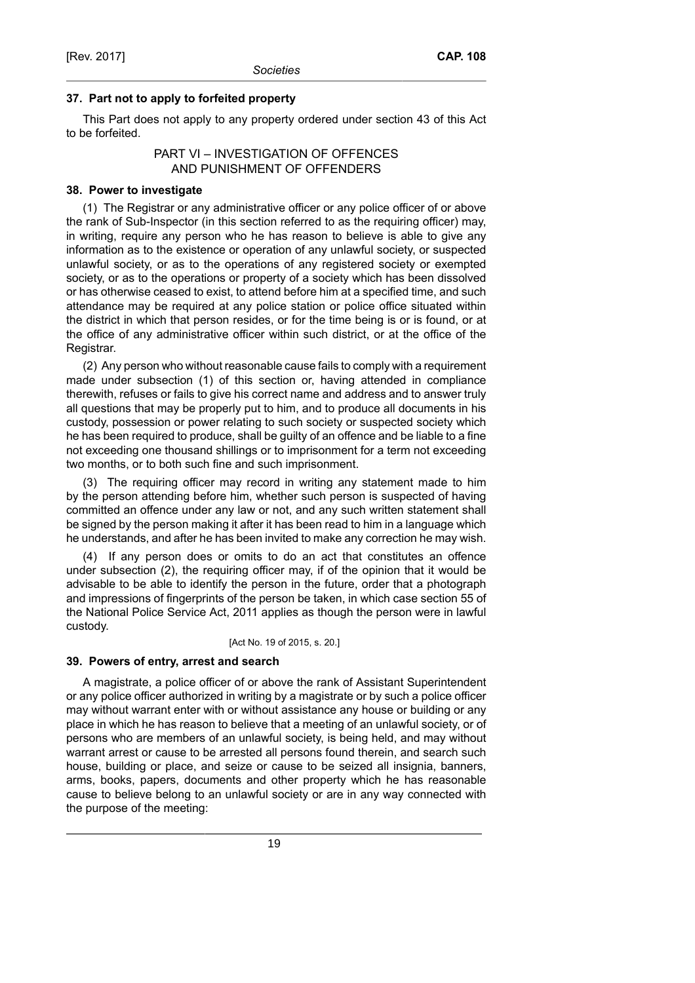### **37. Part not to apply to forfeited property**

This Part does not apply to any property ordered under section 43 of this Act to be forfeited.

### PART VI – INVESTIGATION OF OFFENCES AND PUNISHMENT OF OFFENDERS

### **38. Power to investigate**

(1) The Registrar or any administrative officer or any police officer of or above the rank of Sub-Inspector (in this section referred to as the requiring officer) may, in writing, require any person who he has reason to believe is able to give any information as to the existence or operation of any unlawful society, or suspected unlawful society, or as to the operations of any registered society or exempted society, or as to the operations or property of a society which has been dissolved or has otherwise ceased to exist, to attend before him at a specified time, and such attendance may be required at any police station or police office situated within the district in which that person resides, or for the time being is or is found, or at the office of any administrative officer within such district, or at the office of the Registrar.

(2) Any person who without reasonable cause fails to comply with a requirement made under subsection (1) of this section or, having attended in compliance therewith, refuses or fails to give his correct name and address and to answer truly all questions that may be properly put to him, and to produce all documents in his custody, possession or power relating to such society or suspected society which he has been required to produce, shall be guilty of an offence and be liable to a fine not exceeding one thousand shillings or to imprisonment for a term not exceeding two months, or to both such fine and such imprisonment.

(3) The requiring officer may record in writing any statement made to him by the person attending before him, whether such person is suspected of having committed an offence under any law or not, and any such written statement shall be signed by the person making it after it has been read to him in a language which he understands, and after he has been invited to make any correction he may wish.

(4) If any person does or omits to do an act that constitutes an offence under subsection (2), the requiring officer may, if of the opinion that it would be advisable to be able to identify the person in the future, order that a photograph and impressions of fingerprints of the person be taken, in which case section 55 of the National Police Service Act, 2011 applies as though the person were in lawful custody.

[Act No. 19 of 2015, s. 20.]

### **39. Powers of entry, arrest and search**

A magistrate, a police officer of or above the rank of Assistant Superintendent or any police officer authorized in writing by a magistrate or by such a police officer may without warrant enter with or without assistance any house or building or any place in which he has reason to believe that a meeting of an unlawful society, or of persons who are members of an unlawful society, is being held, and may without warrant arrest or cause to be arrested all persons found therein, and search such house, building or place, and seize or cause to be seized all insignia, banners, arms, books, papers, documents and other property which he has reasonable cause to believe belong to an unlawful society or are in any way connected with the purpose of the meeting: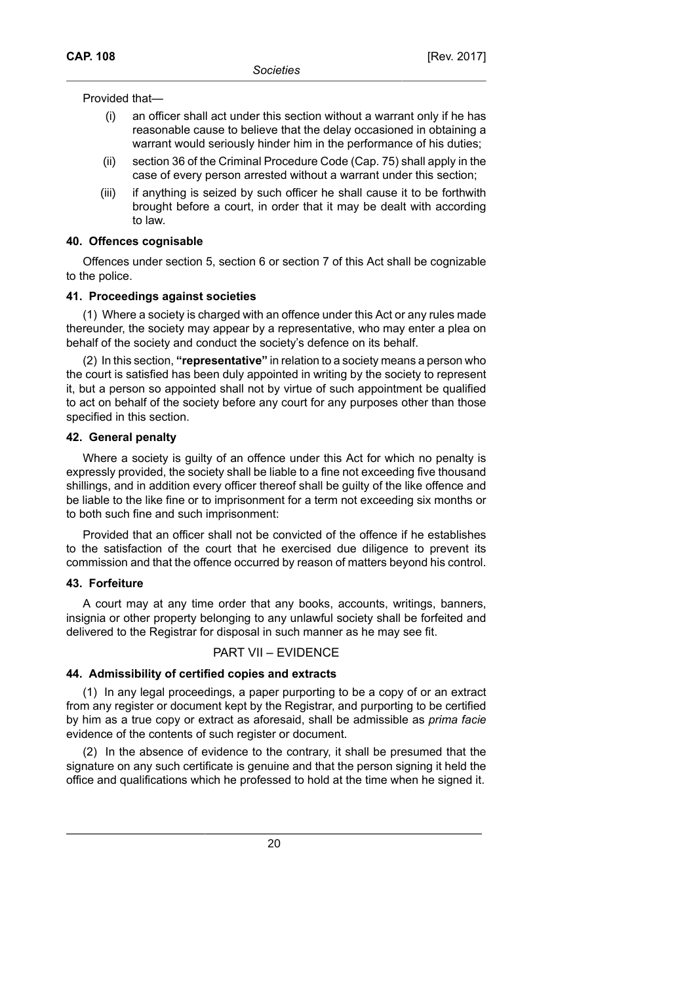Provided that—

- (i) an officer shall act under this section without a warrant only if he has reasonable cause to believe that the delay occasioned in obtaining a warrant would seriously hinder him in the performance of his duties;
- (ii) section 36 of the Criminal Procedure Code (Cap. 75) shall apply in the case of every person arrested without a warrant under this section;
- (iii) if anything is seized by such officer he shall cause it to be forthwith brought before a court, in order that it may be dealt with according to law.

#### **40. Offences cognisable**

Offences under section 5, section 6 or section 7 of this Act shall be cognizable to the police.

#### **41. Proceedings against societies**

(1) Where a society is charged with an offence under this Act or any rules made thereunder, the society may appear by a representative, who may enter a plea on behalf of the society and conduct the society's defence on its behalf.

(2) In this section, **"representative"** in relation to a society means a person who the court is satisfied has been duly appointed in writing by the society to represent it, but a person so appointed shall not by virtue of such appointment be qualified to act on behalf of the society before any court for any purposes other than those specified in this section.

### **42. General penalty**

Where a society is guilty of an offence under this Act for which no penalty is expressly provided, the society shall be liable to a fine not exceeding five thousand shillings, and in addition every officer thereof shall be guilty of the like offence and be liable to the like fine or to imprisonment for a term not exceeding six months or to both such fine and such imprisonment:

Provided that an officer shall not be convicted of the offence if he establishes to the satisfaction of the court that he exercised due diligence to prevent its commission and that the offence occurred by reason of matters beyond his control.

### **43. Forfeiture**

A court may at any time order that any books, accounts, writings, banners, insignia or other property belonging to any unlawful society shall be forfeited and delivered to the Registrar for disposal in such manner as he may see fit.

#### PART VII – EVIDENCE

### **44. Admissibility of certified copies and extracts**

(1) In any legal proceedings, a paper purporting to be a copy of or an extract from any register or document kept by the Registrar, and purporting to be certified by him as a true copy or extract as aforesaid, shall be admissible as *prima facie* evidence of the contents of such register or document.

(2) In the absence of evidence to the contrary, it shall be presumed that the signature on any such certificate is genuine and that the person signing it held the office and qualifications which he professed to hold at the time when he signed it.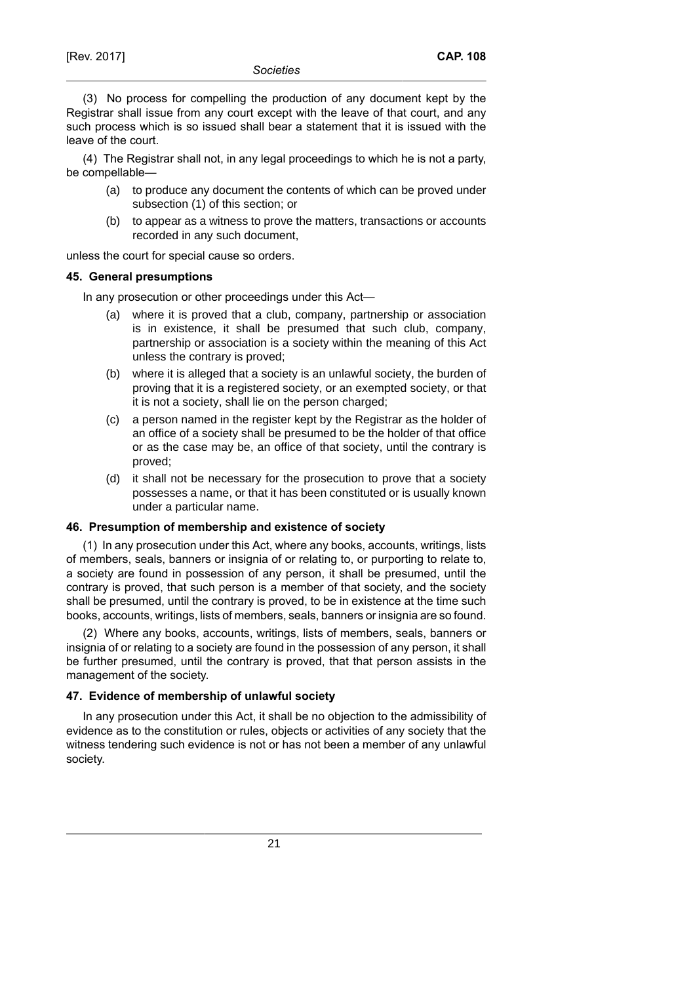(3) No process for compelling the production of any document kept by the Registrar shall issue from any court except with the leave of that court, and any such process which is so issued shall bear a statement that it is issued with the leave of the court.

(4) The Registrar shall not, in any legal proceedings to which he is not a party, be compellable—

- (a) to produce any document the contents of which can be proved under subsection (1) of this section; or
- (b) to appear as a witness to prove the matters, transactions or accounts recorded in any such document,

unless the court for special cause so orders.

### **45. General presumptions**

In any prosecution or other proceedings under this Act—

- (a) where it is proved that a club, company, partnership or association is in existence, it shall be presumed that such club, company, partnership or association is a society within the meaning of this Act unless the contrary is proved;
- (b) where it is alleged that a society is an unlawful society, the burden of proving that it is a registered society, or an exempted society, or that it is not a society, shall lie on the person charged;
- (c) a person named in the register kept by the Registrar as the holder of an office of a society shall be presumed to be the holder of that office or as the case may be, an office of that society, until the contrary is proved;
- (d) it shall not be necessary for the prosecution to prove that a society possesses a name, or that it has been constituted or is usually known under a particular name.

### **46. Presumption of membership and existence of society**

(1) In any prosecution under this Act, where any books, accounts, writings, lists of members, seals, banners or insignia of or relating to, or purporting to relate to, a society are found in possession of any person, it shall be presumed, until the contrary is proved, that such person is a member of that society, and the society shall be presumed, until the contrary is proved, to be in existence at the time such books, accounts, writings, lists of members, seals, banners or insignia are so found.

(2) Where any books, accounts, writings, lists of members, seals, banners or insignia of or relating to a society are found in the possession of any person, it shall be further presumed, until the contrary is proved, that that person assists in the management of the society.

### **47. Evidence of membership of unlawful society**

In any prosecution under this Act, it shall be no objection to the admissibility of evidence as to the constitution or rules, objects or activities of any society that the witness tendering such evidence is not or has not been a member of any unlawful society.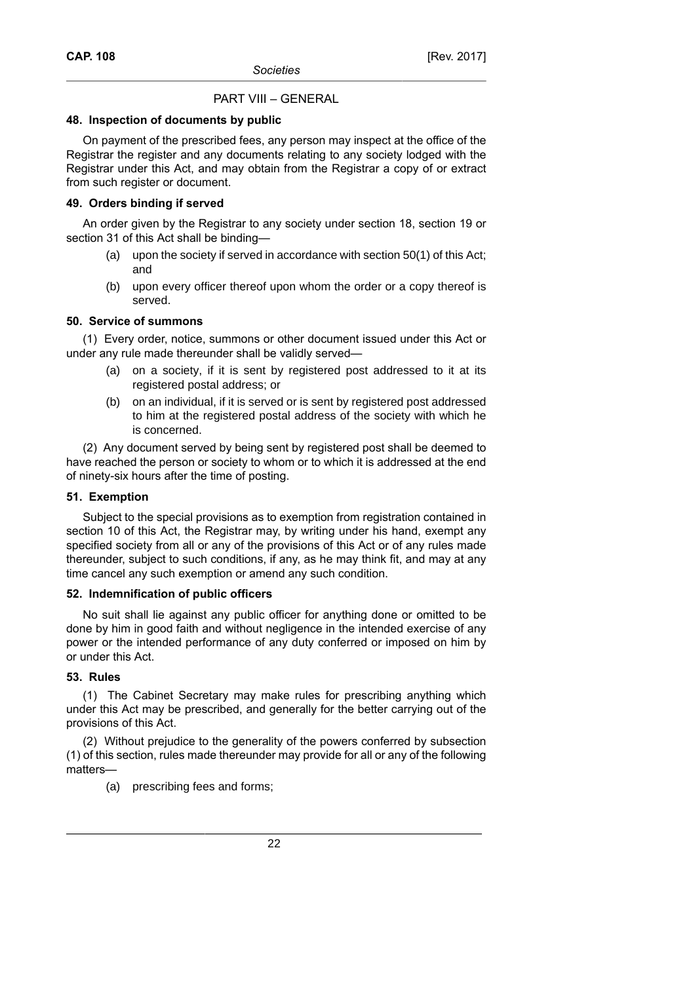# PART VIII – GENERAL

# **48. Inspection of documents by public**

On payment of the prescribed fees, any person may inspect at the office of the Registrar the register and any documents relating to any society lodged with the Registrar under this Act, and may obtain from the Registrar a copy of or extract from such register or document.

# **49. Orders binding if served**

An order given by the Registrar to any society under section 18, section 19 or section 31 of this Act shall be binding—

- (a) upon the society if served in accordance with section 50(1) of this Act; and
- (b) upon every officer thereof upon whom the order or a copy thereof is served.

# **50. Service of summons**

(1) Every order, notice, summons or other document issued under this Act or under any rule made thereunder shall be validly served—

- (a) on a society, if it is sent by registered post addressed to it at its registered postal address; or
- (b) on an individual, if it is served or is sent by registered post addressed to him at the registered postal address of the society with which he is concerned.

(2) Any document served by being sent by registered post shall be deemed to have reached the person or society to whom or to which it is addressed at the end of ninety-six hours after the time of posting.

## **51. Exemption**

Subject to the special provisions as to exemption from registration contained in section 10 of this Act, the Registrar may, by writing under his hand, exempt any specified society from all or any of the provisions of this Act or of any rules made thereunder, subject to such conditions, if any, as he may think fit, and may at any time cancel any such exemption or amend any such condition.

### **52. Indemnification of public officers**

No suit shall lie against any public officer for anything done or omitted to be done by him in good faith and without negligence in the intended exercise of any power or the intended performance of any duty conferred or imposed on him by or under this Act.

# **53. Rules**

(1) The Cabinet Secretary may make rules for prescribing anything which under this Act may be prescribed, and generally for the better carrying out of the provisions of this Act.

(2) Without prejudice to the generality of the powers conferred by subsection (1) of this section, rules made thereunder may provide for all or any of the following matters—

(a) prescribing fees and forms;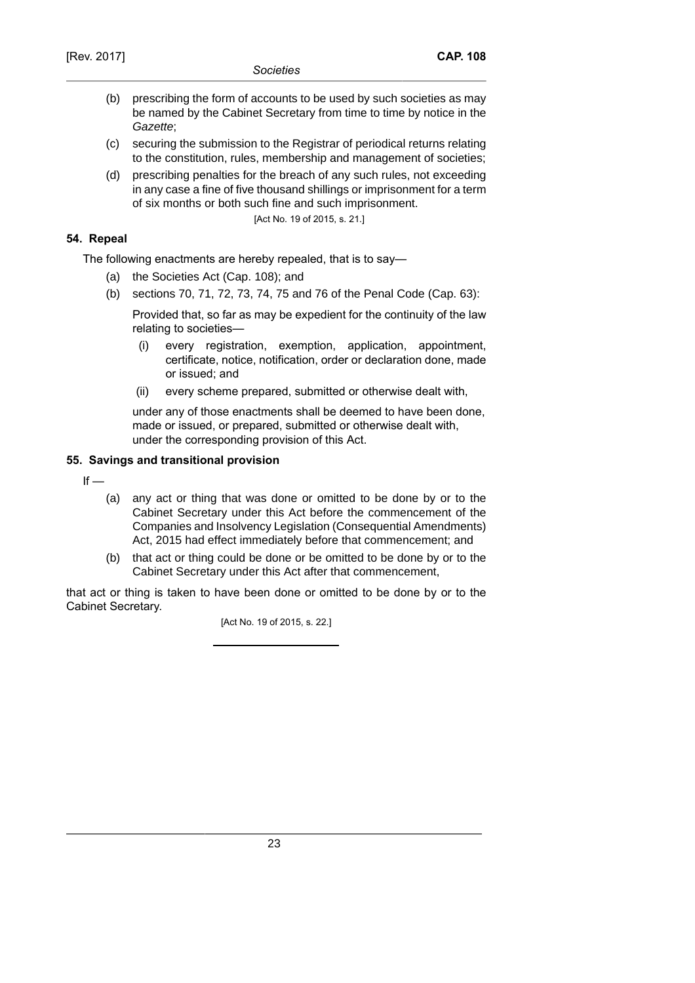- (b) prescribing the form of accounts to be used by such societies as may be named by the Cabinet Secretary from time to time by notice in the Gazette;
- (c) securing the submission to the Registrar of periodical returns relating to the constitution, rules, membership and management of societies;
- (d) prescribing penalties for the breach of any such rules, not exceeding in any case a fine of five thousand shillings or imprisonment for a term of six months or both such fine and such imprisonment.

[Act No. 19 of 2015, s. 21.]

## **54. Repeal**

The following enactments are hereby repealed, that is to say—

- (a) the Societies Act (Cap. 108); and
- (b) sections 70, 71, 72, 73, 74, 75 and 76 of the Penal Code (Cap. 63):

Provided that, so far as may be expedient for the continuity of the law relating to societies—

- (i) every registration, exemption, application, appointment, certificate, notice, notification, order or declaration done, made or issued; and
- (ii) every scheme prepared, submitted or otherwise dealt with,

under any of those enactments shall be deemed to have been done, made or issued, or prepared, submitted or otherwise dealt with, under the corresponding provision of this Act.

# **55. Savings and transitional provision**

 $If -$ 

- (a) any act or thing that was done or omitted to be done by or to the Cabinet Secretary under this Act before the commencement of the Companies and Insolvency Legislation (Consequential Amendments) Act, 2015 had effect immediately before that commencement; and
- (b) that act or thing could be done or be omitted to be done by or to the Cabinet Secretary under this Act after that commencement,

that act or thing is taken to have been done or omitted to be done by or to the Cabinet Secretary.

[Act No. 19 of 2015, s. 22.]